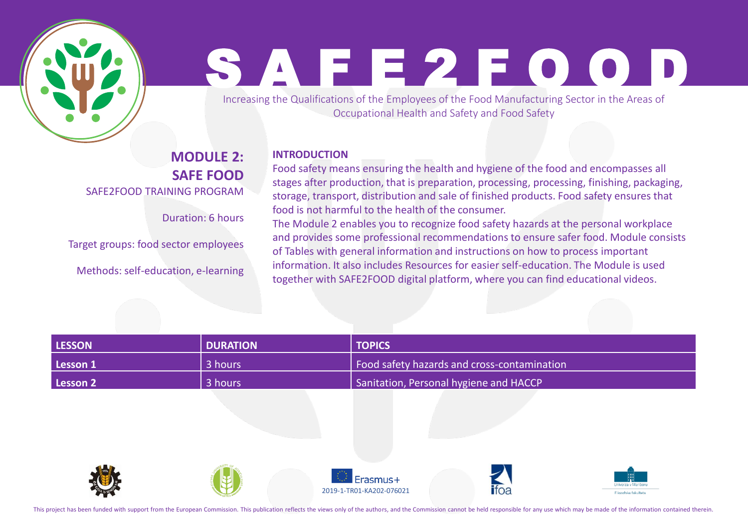

# S A F E 2 F O O D

Increasing the Qualifications of the Employees of the Food Manufacturing Sector in the Areas of Occupational Health and Safety and Food Safety

#### **MODULE 2: SAFE FOOD** SAFE2FOOD TRAINING PROGRAM

Duration: 6 hours

Target groups: food sector employees

Methods: self-education, e-learning

#### **INTRODUCTION**

Food safety means ensuring the health and hygiene of the food and encompasses all stages after production, that is preparation, processing, processing, finishing, packaging, storage, transport, distribution and sale of finished products. Food safety ensures that food is not harmful to the health of the consumer.

The Module 2 enables you to recognize food safety hazards at the personal workplace and provides some professional recommendations to ensure safer food. Module consists of Tables with general information and instructions on how to process important information. It also includes Resources for easier self-education. The Module is used together with SAFE2FOOD digital platform, where you can find educational videos.

| <b>LESSON</b> | <b>N</b> DURATION | <b>TOPICS</b>                               |
|---------------|-------------------|---------------------------------------------|
| Lesson 1      | 3 hours           | Food safety hazards and cross-contamination |
| Lesson 2      | 3 hours           | Sanitation, Personal hygiene and HACCP      |











This project has been funded with support from the European Commission. This publication reflects the views only of the authors, and the Commission cannot be held responsible for any use which may be made of the informatio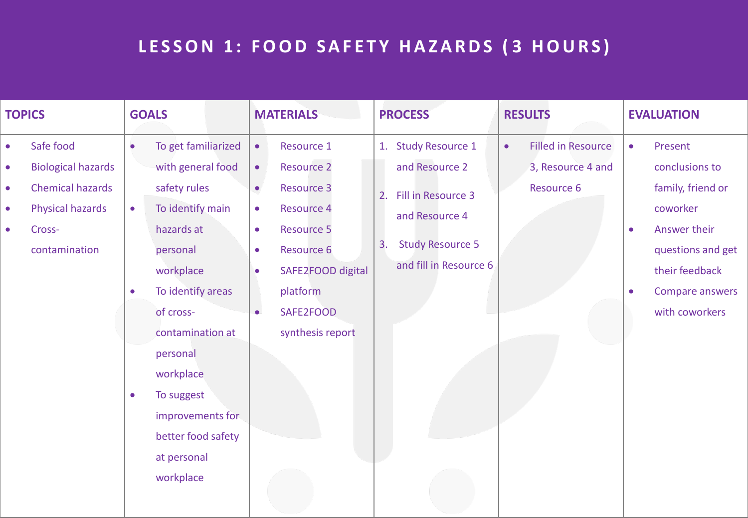# **L E S S O N 1 : F O O D S A F E T Y H A Z A R D S ( 3 H O U R S )**

| <b>TOPICS</b>                                    |                                                                                                                  | <b>GOALS</b>                                     |                                                                                                                                                                                                                                                                                        | <b>MATERIALS</b>                                                                                     |                                                                                                                                                                                | <b>PROCESS</b> |                                                                                                                                    | <b>RESULTS</b> |                                                              | <b>EVALUATION</b>                   |                                                                                                                                                        |
|--------------------------------------------------|------------------------------------------------------------------------------------------------------------------|--------------------------------------------------|----------------------------------------------------------------------------------------------------------------------------------------------------------------------------------------------------------------------------------------------------------------------------------------|------------------------------------------------------------------------------------------------------|--------------------------------------------------------------------------------------------------------------------------------------------------------------------------------|----------------|------------------------------------------------------------------------------------------------------------------------------------|----------------|--------------------------------------------------------------|-------------------------------------|--------------------------------------------------------------------------------------------------------------------------------------------------------|
| $\bullet$<br>$\bullet$<br>$\bullet$<br>$\bullet$ | Safe food<br><b>Biological hazards</b><br><b>Chemical hazards</b><br>Physical hazards<br>Cross-<br>contamination | $\bullet$<br>$\bullet$<br>$\bullet$<br>$\bullet$ | To get familiarized<br>with general food<br>safety rules<br>To identify main<br>hazards at<br>personal<br>workplace<br>To identify areas<br>of cross-<br>contamination at<br>personal<br>workplace<br>To suggest<br>improvements for<br>better food safety<br>at personal<br>workplace | $\bullet$<br>$\bullet$<br>$\bullet$<br>$\bullet$<br>$\bullet$<br>$\bullet$<br>$\bullet$<br>$\bullet$ | Resource 1<br><b>Resource 2</b><br><b>Resource 3</b><br><b>Resource 4</b><br><b>Resource 5</b><br>Resource 6<br>SAFE2FOOD digital<br>platform<br>SAFE2FOOD<br>synthesis report | 2.<br>3.       | 1. Study Resource 1<br>and Resource 2<br>Fill in Resource 3<br>and Resource 4<br><b>Study Resource 5</b><br>and fill in Resource 6 | $\bullet$      | <b>Filled in Resource</b><br>3, Resource 4 and<br>Resource 6 | $\bullet$<br>$\bullet$<br>$\bullet$ | Present<br>conclusions to<br>family, friend or<br>coworker<br>Answer their<br>questions and get<br>their feedback<br>Compare answers<br>with coworkers |
|                                                  |                                                                                                                  |                                                  |                                                                                                                                                                                                                                                                                        |                                                                                                      |                                                                                                                                                                                |                |                                                                                                                                    |                |                                                              |                                     |                                                                                                                                                        |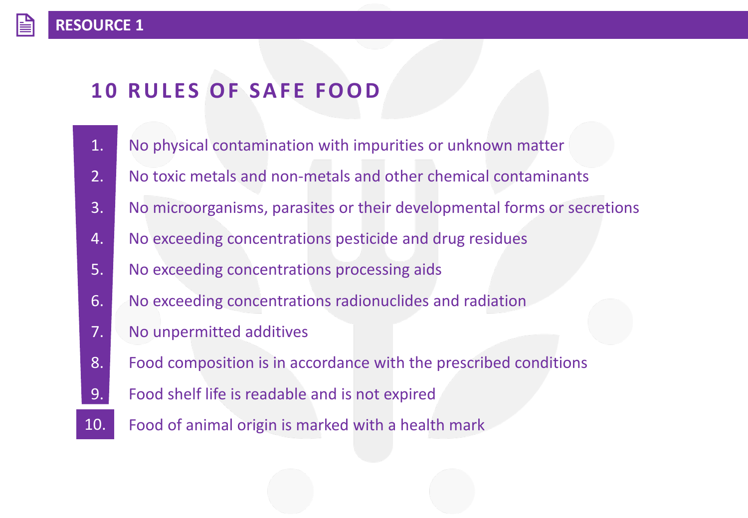# **10 RULES OF SAFE FOOD**

- 1. No physical contamination with impurities or unknown matter
- 2. No toxic metals and non-metals and other chemical contaminants
- 3. No microorganisms, parasites or their developmental forms or secretions
- 4. No exceeding concentrations pesticide and drug residues
- 5. No exceeding concentrations processing aids
- 6. No exceeding concentrations radionuclides and radiation
- 7. No unpermitted additives
- 8. Food composition is in accordance with the prescribed conditions
- 9. Food shelf life is readable and is not expired
- Food of animal origin is marked with a health mark 10.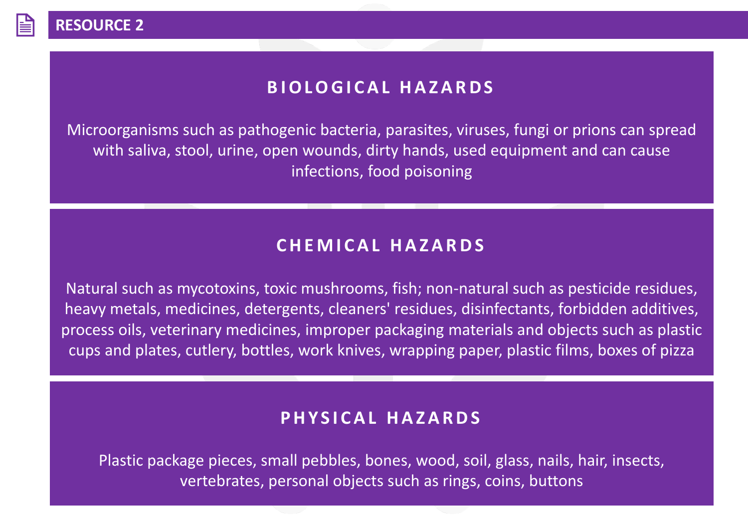## **B I O L O G I C A L H A Z A R D S**

Microorganisms such as pathogenic bacteria, parasites, viruses, fungi or prions can spread with saliva, stool, urine, open wounds, dirty hands, used equipment and can cause infections, food poisoning

## **C H E M I C A L H A Z A R D S**

Natural such as mycotoxins, toxic mushrooms, fish; non-natural such as pesticide residues, heavy metals, medicines, detergents, cleaners' residues, disinfectants, forbidden additives, process oils, veterinary medicines, improper packaging materials and objects such as plastic cups and plates, cutlery, bottles, work knives, wrapping paper, plastic films, boxes of pizza

## **P H Y S I C A L H A Z A R D S**

Plastic package pieces, small pebbles, bones, wood, soil, glass, nails, hair, insects, vertebrates, personal objects such as rings, coins, buttons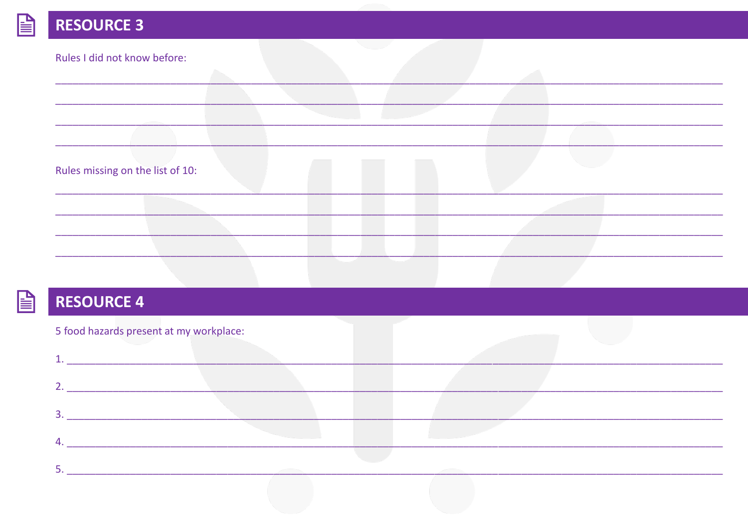| Rules I did not know before:     |  |  |  |
|----------------------------------|--|--|--|
|                                  |  |  |  |
|                                  |  |  |  |
|                                  |  |  |  |
|                                  |  |  |  |
| Rules missing on the list of 10: |  |  |  |
|                                  |  |  |  |
|                                  |  |  |  |
|                                  |  |  |  |



# **RESOURCE 4**

| 5 food hazards present at my workplace: |  |  |
|-----------------------------------------|--|--|
|                                         |  |  |
|                                         |  |  |
|                                         |  |  |
| 4                                       |  |  |
|                                         |  |  |
|                                         |  |  |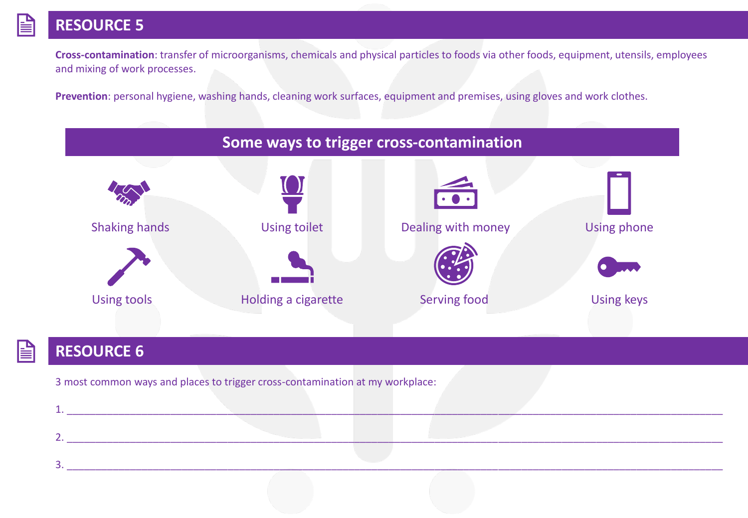**Cross-contamination**: transfer of microorganisms, chemicals and physical particles to foods via other foods, equipment, utensils, employees and mixing of work processes.

**Prevention**: personal hygiene, washing hands, cleaning work surfaces, equipment and premises, using gloves and work clothes.



## **RESOURCE 6**

3 most common ways and places to trigger cross-contamination at my workplace: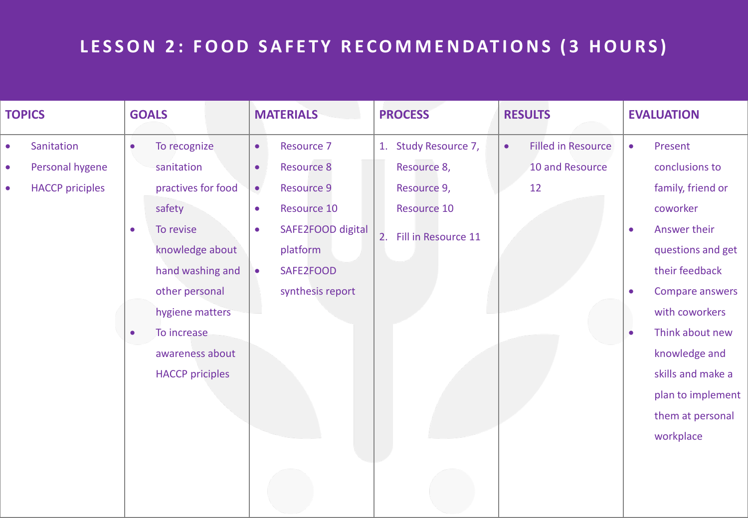# LESSON 2: FOOD SAFETY RECOMMENDATIONS (3 HOURS)

| <b>TOPICS</b> |                        | <b>GOALS</b> |                        | <b>MATERIALS</b> |                   | <b>PROCESS</b> |                      | <b>RESULTS</b> |                           | <b>EVALUATION</b> |                   |
|---------------|------------------------|--------------|------------------------|------------------|-------------------|----------------|----------------------|----------------|---------------------------|-------------------|-------------------|
| $\bullet$     | Sanitation             | $\bullet$    | To recognize           | $\bullet$        | <b>Resource 7</b> |                | 1. Study Resource 7, | $\bullet$      | <b>Filled in Resource</b> | $\bullet$         | Present           |
| $\bullet$     | Personal hygene        |              | sanitation             | $\bullet$        | <b>Resource 8</b> |                | Resource 8,          |                | 10 and Resource           |                   | conclusions to    |
| $\bullet$     | <b>HACCP</b> priciples |              | practives for food     | $\bullet$        | <b>Resource 9</b> |                | Resource 9,          |                | 12                        |                   | family, friend or |
|               |                        |              | safety                 | $\bullet$        | Resource 10       |                | Resource 10          |                |                           |                   | coworker          |
|               |                        | $\bullet$    | To revise              | $\bullet$        | SAFE2FOOD digital | 2.             | Fill in Resource 11  |                |                           | $\bullet$         | Answer their      |
|               |                        |              | knowledge about        |                  | platform          |                |                      |                |                           |                   | questions and get |
|               |                        |              | hand washing and       | $\bullet$        | SAFE2FOOD         |                |                      |                |                           |                   | their feedback    |
|               |                        |              | other personal         |                  | synthesis report  |                |                      |                |                           | $\bullet$         | Compare answers   |
|               |                        |              | hygiene matters        |                  |                   |                |                      |                |                           |                   | with coworkers    |
|               |                        | $\bullet$    | To increase            |                  |                   |                |                      |                |                           | $\bullet$         | Think about new   |
|               |                        |              | awareness about        |                  |                   |                |                      |                |                           |                   | knowledge and     |
|               |                        |              | <b>HACCP</b> priciples |                  |                   |                |                      |                |                           |                   | skills and make a |
|               |                        |              |                        |                  |                   |                |                      |                |                           |                   | plan to implement |
|               |                        |              |                        |                  |                   |                |                      |                |                           |                   | them at personal  |
|               |                        |              |                        |                  |                   |                |                      |                |                           |                   | workplace         |
|               |                        |              |                        |                  |                   |                |                      |                |                           |                   |                   |
|               |                        |              |                        |                  |                   |                |                      |                |                           |                   |                   |
|               |                        |              |                        |                  |                   |                |                      |                |                           |                   |                   |
|               |                        |              |                        |                  |                   |                |                      |                |                           |                   |                   |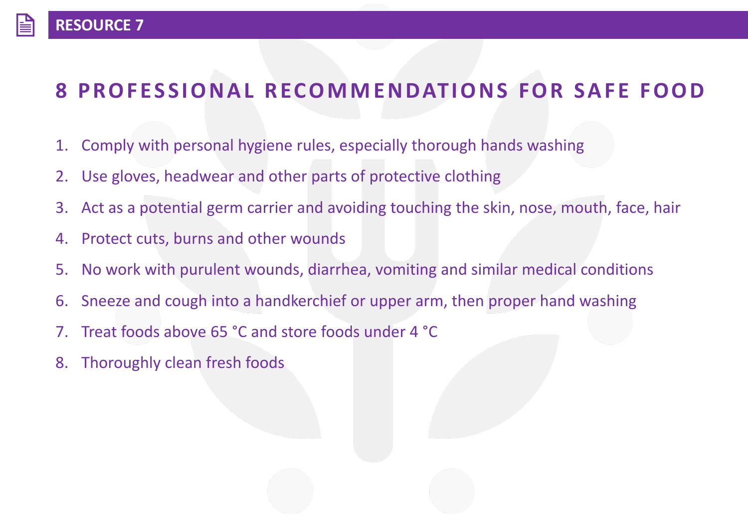# **8 PROFESSIONAL RECOMMENDATIONS FOR SAFE FOOD**

- 1. Comply with personal hygiene rules, especially thorough hands washing
- 2. Use gloves, headwear and other parts of protective clothing
- 3. Act as a potential germ carrier and avoiding touching the skin, nose, mouth, face, hair
- 4. Protect cuts, burns and other wounds
- 5. No work with purulent wounds, diarrhea, vomiting and similar medical conditions
- 6. Sneeze and cough into a handkerchief or upper arm, then proper hand washing
- 7. Treat foods above 65 °C and store foods under 4 °C
- 8. Thoroughly clean fresh foods

**RESOURCE 7**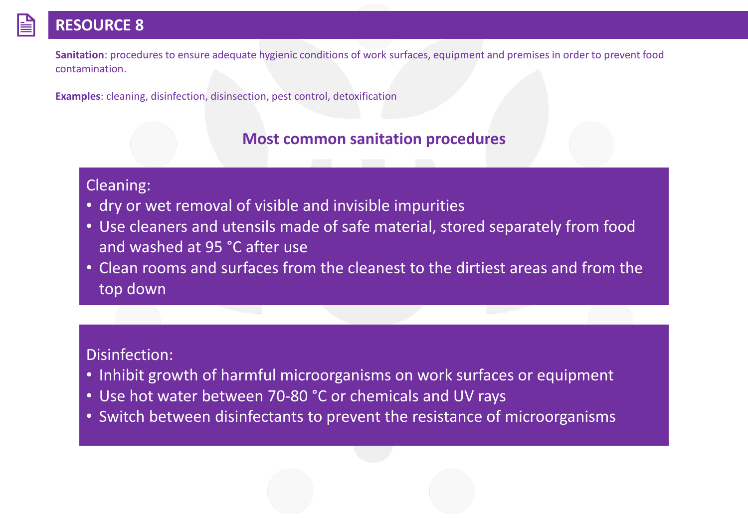**Sanitation**: procedures to ensure adequate hygienic conditions of work surfaces, equipment and premises in order to prevent food contamination.

**Examples**: cleaning, disinfection, disinsection, pest control, detoxification

## **Most common sanitation procedures**

#### Cleaning:

- dry or wet removal of visible and invisible impurities
- Use cleaners and utensils made of safe material, stored separately from food and washed at 95 °C after use
- Clean rooms and surfaces from the cleanest to the dirtiest areas and from the top down

## Disinfection:

- Inhibit growth of harmful microorganisms on work surfaces or equipment
- Use hot water between 70-80 °C or chemicals and UV rays
- Switch between disinfectants to prevent the resistance of microorganisms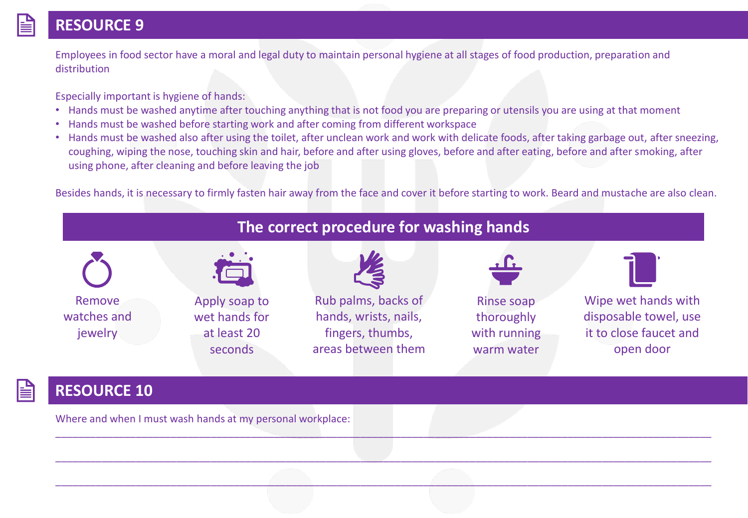#### **RESOURCE 9**

Employees in food sector have a moral and legal duty to maintain personal hygiene at all stages of food production, preparation and distribution

Especially important is hygiene of hands:

- Hands must be washed anytime after touching anything that is not food you are preparing or utensils you are using at that moment
- Hands must be washed before starting work and after coming from different workspace
- Hands must be washed also after using the toilet, after unclean work and work with delicate foods, after taking garbage out, after sneezing, coughing, wiping the nose, touching skin and hair, before and after using gloves, before and after eating, before and after smoking, after using phone, after cleaning and before leaving the job

Besides hands, it is necessary to firmly fasten hair away from the face and cover it before starting to work. Beard and mustache are also clean.



## **The correct procedure for washing hands**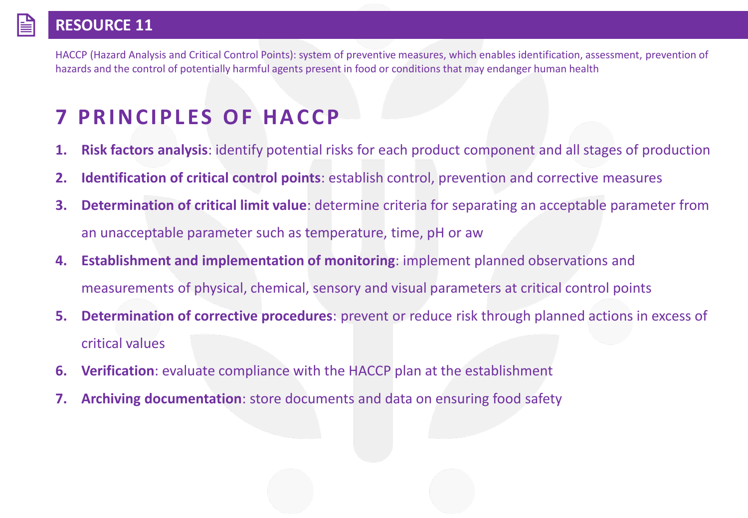HACCP (Hazard Analysis and Critical Control Points): system of preventive measures, which enables identification, assessment, prevention of hazards and the control of potentially harmful agents present in food or conditions that may endanger human health

# **7 PRINCIPLES OF HACCP**

- **1. Risk factors analysis**: identify potential risks for each product component and all stages of production
- **2. Identification of critical control points**: establish control, prevention and corrective measures
- **3. Determination of critical limit value**: determine criteria for separating an acceptable parameter from an unacceptable parameter such as temperature, time, pH or aw
- **4. Establishment and implementation of monitoring**: implement planned observations and measurements of physical, chemical, sensory and visual parameters at critical control points
- **5. Determination of corrective procedures**: prevent or reduce risk through planned actions in excess of critical values
- **6. Verification**: evaluate compliance with the HACCP plan at the establishment
- **7. Archiving documentation**: store documents and data on ensuring food safety